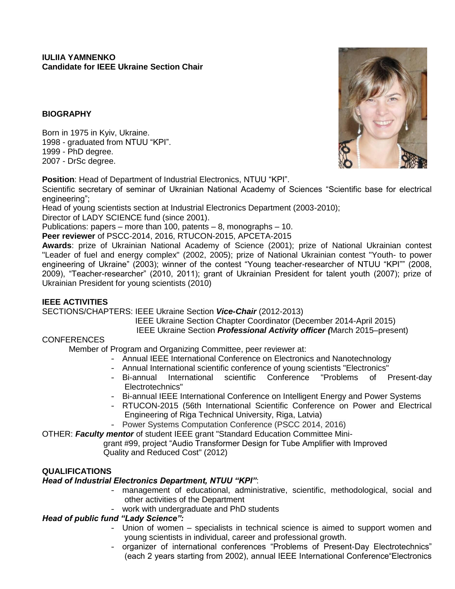## **BIOGRAPHY**

Born in 1975 in Kyiv, Ukraine. 1998 - graduated from NTUU "KPI". 1999 - PhD degree. 2007 - DrSc degree.

**Position**: Head of Department of Industrial Electronics, NTUU "KPI".

Scientific secretary of seminar of Ukrainian National Academy of Sciences "Scientific base for electrical engineering";

Head of young scientists section at Industrial Electronics Department (2003-2010);

Director of LADY SCIENCE fund (since 2001).

Publications: papers – more than 100, patents – 8, monographs – 10.

**Peer reviewer** of PSCC-2014, 2016, RTUCON-2015, APCETA-2015

**Awards**: prize of Ukrainian National Academy of Science (2001); prize of National Ukrainian contest "Leader of fuel and energy complex" (2002, 2005); prize of National Ukrainian contest "Youth- to power engineering of Ukraine" (2003); winner of the contest "Young teacher-researcher of NTUU "KPI"" (2008, 2009), "Teacher-researcher" (2010, 2011); grant of Ukrainian President for talent youth (2007); prize of Ukrainian President for young scientists (2010)

## **IEEE ACTIVITIES**

SECTIONS/CHAPTERS: IEEE Ukraine Section *Vice-Chair* (2012-2013)

IEEE Ukraine Section Chapter Coordinator (December 2014-April 2015)

IEEE Ukraine Section *Professional Activity officer (*March 2015–present)

#### CONFERENCES

Member of Program and Organizing Committee, peer reviewer at:

- Annual IEEE International Conference on Electronics and Nanotechnology
- Annual International scientific conference of young scientists "Electronics"
- Bi-annual International scientific Conference "Problems of Present-day Electrotechnics"
- Bi-annual IEEE International Conference on Intelligent Energy and Power Systems
- RTUCON-2015 (56th International Scientific Conference on Power and Electrical Engineering of Riga Technical University, Riga, Latvia)
- Power Systems Computation Conference (PSCC 2014, 2016)

OTHER: *Faculty mentor* of student IEEE grant "Standard Education Committee Mini-

 grant #99, project "Audio Transformer Design for Tube Amplifier with Improved Quality and Reduced Cost" (2012)

#### **QUALIFICATIONS**

# *Head of Industrial Electronics Department, NTUU "KPI"*:

- management of educational, administrative, scientific, methodological, social and other activities of the Department
- work with undergraduate and PhD students

# *Head of public fund "Lady Science":*

- Union of women specialists in technical science is aimed to support women and young scientists in individual, career and professional growth.
- organizer of international conferences "Problems of Present-Day Electrotechnics" (each 2 years starting from 2002), annual IEEE International Conference"Electronics